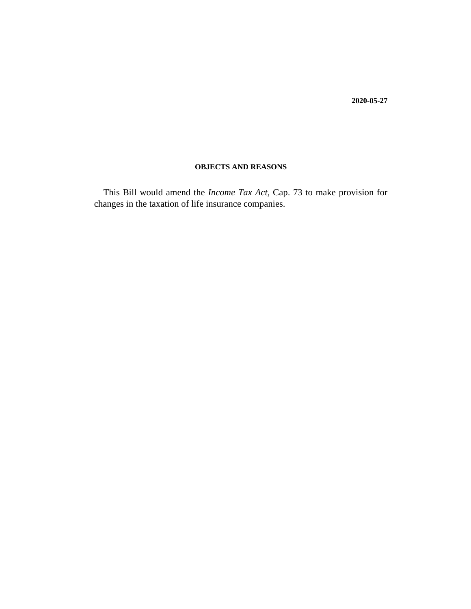**2020-05-27**

# **OBJECTS AND REASONS**

This Bill would amend the *Income Tax Act,* Cap. 73 to make provision for changes in the taxation of life insurance companies.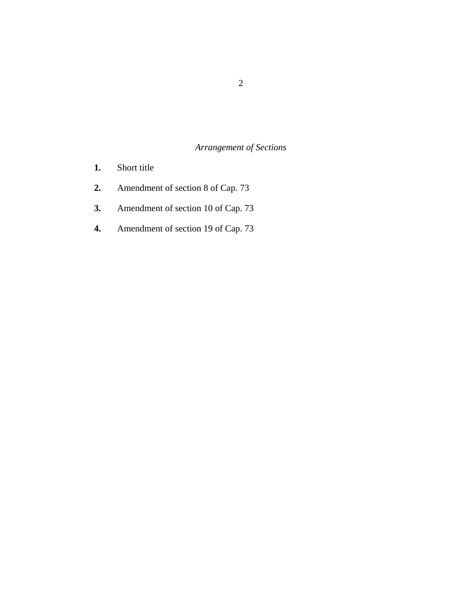# *Arrangement of Sections*

- [Short title](#page-3-0) **1.**
- [Amendment of section 8 of Cap. 73](#page-3-0) **2.**
- [Amendment of section 10 of Cap. 73](#page-3-0) **3.**
- [Amendment of section 19 of Cap. 73](#page-4-0) **4.**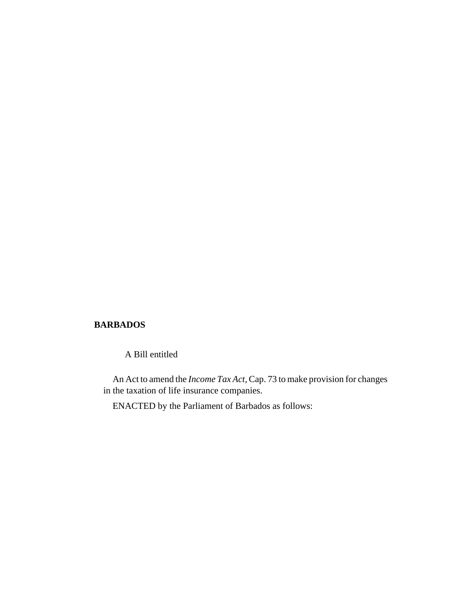## **BARBADOS**

A Bill entitled

An Act to amend the *Income Tax Act,* Cap. 73 to make provision for changes in the taxation of life insurance companies.

ENACTED by the Parliament of Barbados as follows: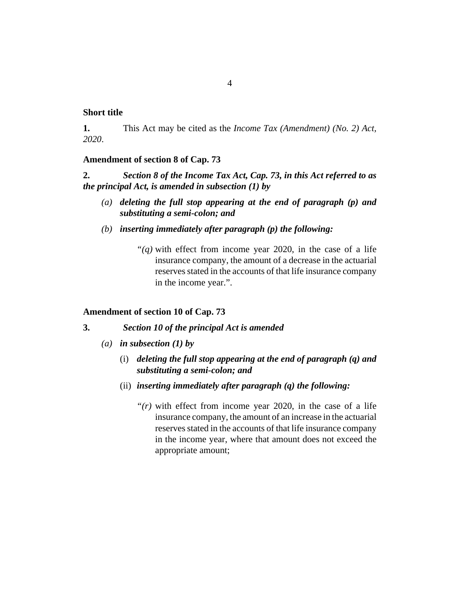## <span id="page-3-0"></span>**Short title**

This Act may be cited as the *Income Tax (Amendment) (No. 2) Act, 2020*. **1.**

### **Amendment of section 8 of Cap. 73**

*Section 8 of the Income Tax Act, Cap. 73, in this Act referred to as the principal Act, is amended in subsection (1) by* **2.**

- *deleting the full stop appearing at the end of paragraph (p) and (a) substituting a semi-colon; and*
- *inserting immediately after paragraph (p) the following: (b)*
	- " $(q)$  with effect from income year 2020, in the case of a life" insurance company, the amount of a decrease in the actuarial reserves stated in the accounts of that life insurance company in the income year.".

#### **Amendment of section 10 of Cap. 73**

*Section 10 of the principal Act is amended* **3.**

- *in subsection (1) by (a)*
	- *deleting the full stop appearing at the end of paragraph (q) and* (i) *substituting a semi-colon; and*
	- (ii) inserting immediately after paragraph (q) the following:
		- "(r) with effect from income year 2020, in the case of a life" insurance company, the amount of an increase in the actuarial reserves stated in the accounts of that life insurance company in the income year, where that amount does not exceed the appropriate amount;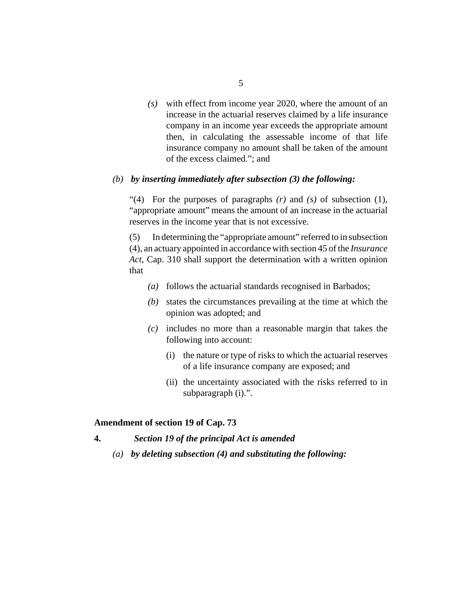<span id="page-4-0"></span>with effect from income year 2020, where the amount of an *(s)* increase in the actuarial reserves claimed by a life insurance company in an income year exceeds the appropriate amount then, in calculating the assessable income of that life insurance company no amount shall be taken of the amount of the excess claimed."; and

#### *by inserting immediately after subsection (3) the following: (b)*

For the purposes of paragraphs *(r)* and *(s)* of subsection (1), "(4) "appropriate amount" means the amount of an increase in the actuarial reserves in the income year that is not excessive.

In determining the "appropriate amount" referred to in subsection (4), an actuary appointed in accordance with section 45 of the *[Insurance](http://barbadosparliament-laws.com/en/showdoc/cs/310) Act*[, Cap. 310](http://barbadosparliament-laws.com/en/showdoc/cs/310) shall support the determination with a written opinion that (5)

- follows the actuarial standards recognised in Barbados; *(a)*
- (b) states the circumstances prevailing at the time at which the opinion was adopted; and
- includes no more than a reasonable margin that takes the *(c)* following into account:
	- (i) the nature or type of risks to which the actuarial reserves of a life insurance company are exposed; and
	- (ii) the uncertainty associated with the risks referred to in subparagraph (i).".

#### **Amendment of section 19 of Cap. 73**

- *Section 19 of the principal Act is amended* **4.**
	- *by deleting subsection (4) and substituting the following: (a)*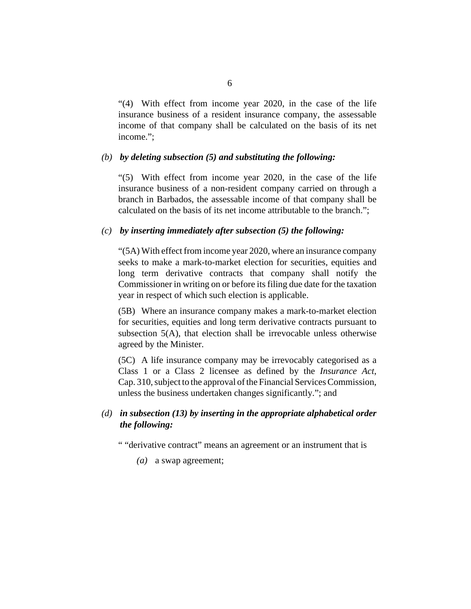"(4) With effect from income year 2020, in the case of the life insurance business of a resident insurance company, the assessable income of that company shall be calculated on the basis of its net income.";

#### *by deleting subsection (5) and substituting the following: (b)*

"(5) With effect from income year 2020, in the case of the life insurance business of a non-resident company carried on through a branch in Barbados, the assessable income of that company shall be calculated on the basis of its net income attributable to the branch.";

#### *by inserting immediately after subsection (5) the following: (c)*

"(5A) With effect from income year 2020, where an insurance company seeks to make a mark-to-market election for securities, equities and long term derivative contracts that company shall notify the Commissioner in writing on or before its filing due date for the taxation year in respect of which such election is applicable.

Where an insurance company makes a mark-to-market election (5B) for securities, equities and long term derivative contracts pursuant to subsection 5(A), that election shall be irrevocable unless otherwise agreed by the Minister.

A life insurance company may be irrevocably categorised as a (5C) Class 1 or a Class 2 licensee as defined by the *[Insurance Act](http://barbadosparliament-laws.com/en/showdoc/cs/310)*, [Cap. 310](http://barbadosparliament-laws.com/en/showdoc/cs/310), subject to the approval of the Financial Services Commission, unless the business undertaken changes significantly."; and

# *in subsection (13) by inserting in the appropriate alphabetical order (d) the following:*

" "derivative contract" means an agreement or an instrument that is

*(a)* a swap agreement;